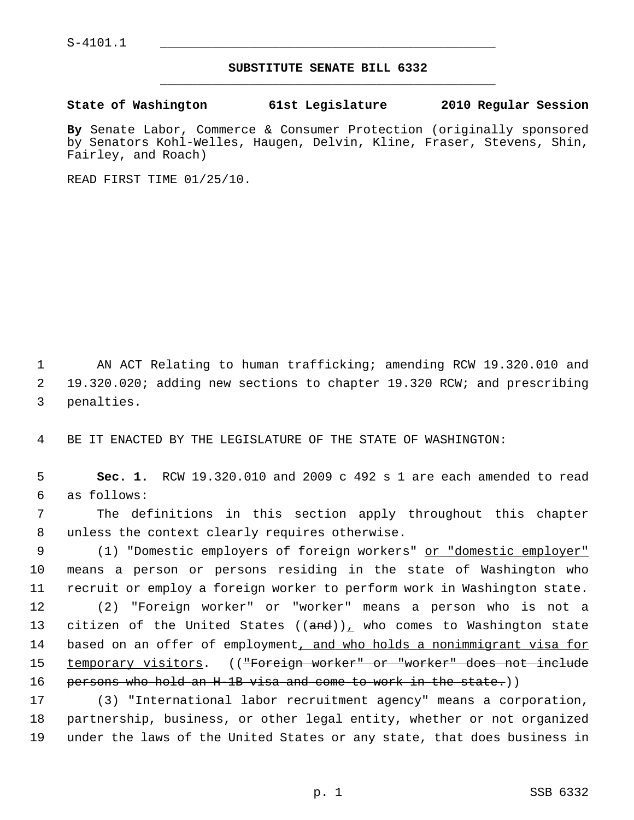## **SUBSTITUTE SENATE BILL 6332** \_\_\_\_\_\_\_\_\_\_\_\_\_\_\_\_\_\_\_\_\_\_\_\_\_\_\_\_\_\_\_\_\_\_\_\_\_\_\_\_\_\_\_\_\_

## **State of Washington 61st Legislature 2010 Regular Session**

**By** Senate Labor, Commerce & Consumer Protection (originally sponsored by Senators Kohl-Welles, Haugen, Delvin, Kline, Fraser, Stevens, Shin, Fairley, and Roach)

READ FIRST TIME 01/25/10.

 1 AN ACT Relating to human trafficking; amending RCW 19.320.010 and 2 19.320.020; adding new sections to chapter 19.320 RCW; and prescribing 3 penalties.

4 BE IT ENACTED BY THE LEGISLATURE OF THE STATE OF WASHINGTON:

 5 **Sec. 1.** RCW 19.320.010 and 2009 c 492 s 1 are each amended to read 6 as follows:

 7 The definitions in this section apply throughout this chapter 8 unless the context clearly requires otherwise.

9 (1) "Domestic employers of foreign workers" or "domestic employer" 10 means a person or persons residing in the state of Washington who 11 recruit or employ a foreign worker to perform work in Washington state.

12 (2) "Foreign worker" or "worker" means a person who is not a 13 citizen of the United States  $((and))_L$  who comes to Washington state 14 based on an offer of employment, and who holds a nonimmigrant visa for 15 temporary visitors. ((<del>"Foreign worker" or "worker" does not include</del> 16 persons who hold an H-1B visa and come to work in the state.)

17 (3) "International labor recruitment agency" means a corporation, 18 partnership, business, or other legal entity, whether or not organized 19 under the laws of the United States or any state, that does business in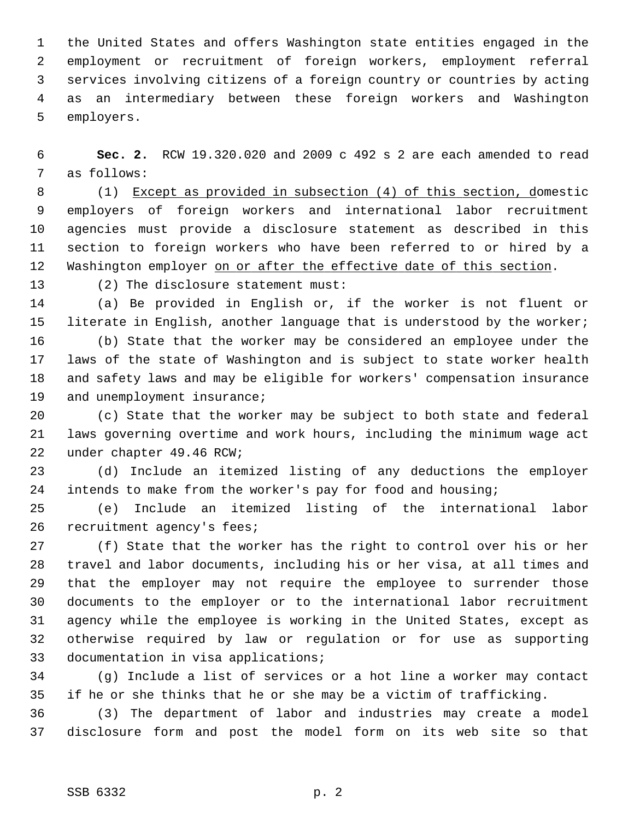1 the United States and offers Washington state entities engaged in the 2 employment or recruitment of foreign workers, employment referral 3 services involving citizens of a foreign country or countries by acting 4 as an intermediary between these foreign workers and Washington 5 employers.

 6 **Sec. 2.** RCW 19.320.020 and 2009 c 492 s 2 are each amended to read 7 as follows:

 8 (1) Except as provided in subsection (4) of this section, domestic 9 employers of foreign workers and international labor recruitment 10 agencies must provide a disclosure statement as described in this 11 section to foreign workers who have been referred to or hired by a 12 Washington employer on or after the effective date of this section.

13 (2) The disclosure statement must:

14 (a) Be provided in English or, if the worker is not fluent or 15 literate in English, another language that is understood by the worker;

16 (b) State that the worker may be considered an employee under the 17 laws of the state of Washington and is subject to state worker health 18 and safety laws and may be eligible for workers' compensation insurance 19 and unemployment insurance;

20 (c) State that the worker may be subject to both state and federal 21 laws governing overtime and work hours, including the minimum wage act 22 under chapter 49.46 RCW;

23 (d) Include an itemized listing of any deductions the employer 24 intends to make from the worker's pay for food and housing;

25 (e) Include an itemized listing of the international labor 26 recruitment agency's fees;

27 (f) State that the worker has the right to control over his or her 28 travel and labor documents, including his or her visa, at all times and 29 that the employer may not require the employee to surrender those 30 documents to the employer or to the international labor recruitment 31 agency while the employee is working in the United States, except as 32 otherwise required by law or regulation or for use as supporting 33 documentation in visa applications;

34 (g) Include a list of services or a hot line a worker may contact 35 if he or she thinks that he or she may be a victim of trafficking.

36 (3) The department of labor and industries may create a model 37 disclosure form and post the model form on its web site so that